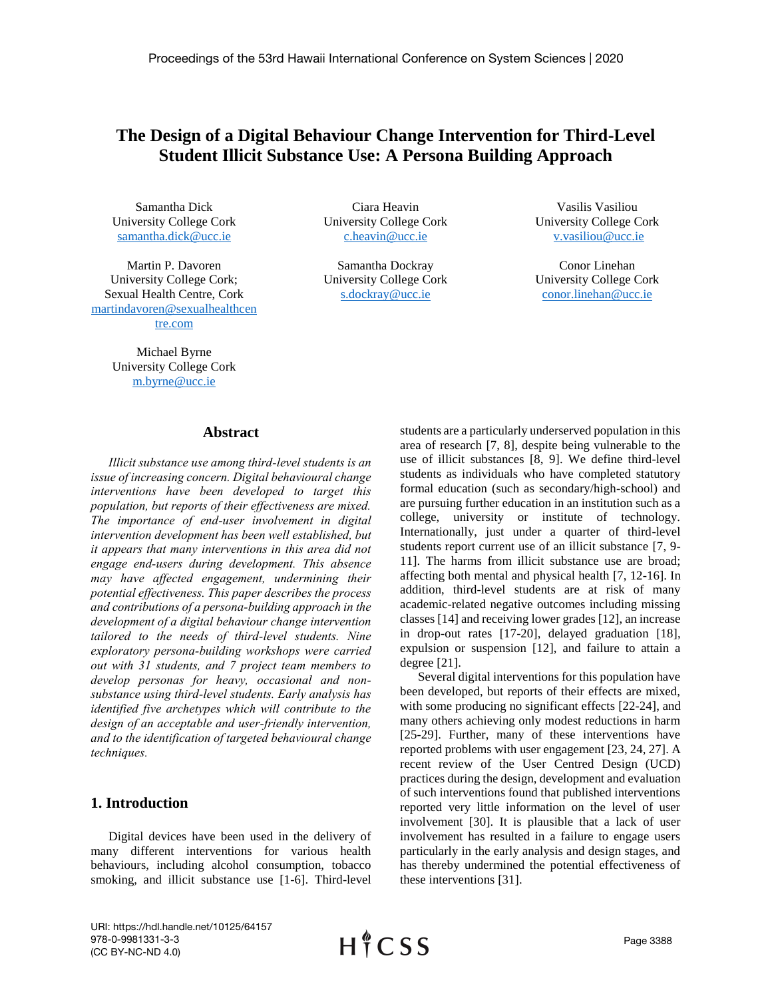# **The Design of a Digital Behaviour Change Intervention for Third-Level Student Illicit Substance Use: A Persona Building Approach**

Samantha Dick University College Cork [samantha.dick@ucc.ie](mailto:samantha.dick@ucc.ie) 

Martin P. Davoren University College Cork; Sexual Health Centre, Cork [martindavoren@sexualhealthcen](mailto:martindavoren@sexualhealthcentre.com) [tre.com](mailto:martindavoren@sexualhealthcentre.com)

> Michael Byrne University College Cork [m.byrne@ucc.ie](mailto:m.byrne@ucc.ie)

Ciara Heavin University College Cork [c.heavin@ucc.ie](mailto:c.heavin@ucc.ie)

Samantha Dockray University College Cork [s.dockray@ucc.ie](mailto:s.dockray@ucc.ie)

Vasilis Vasiliou University College Cork [v.vasiliou@ucc.ie](mailto:v.vasiliou@ucc.ie)

Conor Linehan University College Cork [conor.linehan@ucc.ie](mailto:conor.linehan@ucc.ie)

#### **Abstract**

*Illicit substance use among third-level students is an issue of increasing concern. Digital behavioural change interventions have been developed to target this population, but reports of their effectiveness are mixed. The importance of end-user involvement in digital intervention development has been well established, but it appears that many interventions in this area did not engage end-users during development. This absence may have affected engagement, undermining their potential effectiveness. This paper describes the process and contributions of a persona-building approach in the development of a digital behaviour change intervention tailored to the needs of third-level students. Nine exploratory persona-building workshops were carried out with 31 students, and 7 project team members to develop personas for heavy, occasional and nonsubstance using third-level students. Early analysis has identified five archetypes which will contribute to the design of an acceptable and user-friendly intervention, and to the identification of targeted behavioural change techniques.*

### **1. Introduction**

Digital devices have been used in the delivery of many different interventions for various health behaviours, including alcohol consumption, tobacco smoking, and illicit substance use [1-6]. Third-level students are a particularly underserved population in this area of research [7, 8], despite being vulnerable to the use of illicit substances [8, 9]. We define third-level students as individuals who have completed statutory formal education (such as secondary/high-school) and are pursuing further education in an institution such as a college, university or institute of technology. Internationally, just under a quarter of third-level students report current use of an illicit substance [7, 9- 11]. The harms from illicit substance use are broad; affecting both mental and physical health [7, 12-16]. In addition, third-level students are at risk of many academic-related negative outcomes including missing classes [14] and receiving lower grades [12], an increase in drop-out rates [17-20], delayed graduation [18], expulsion or suspension [12], and failure to attain a degree [21].

Several digital interventions for this population have been developed, but reports of their effects are mixed, with some producing no significant effects [22-24], and many others achieving only modest reductions in harm [25-29]. Further, many of these interventions have reported problems with user engagement [23, 24, 27]. A recent review of the User Centred Design (UCD) practices during the design, development and evaluation of such interventions found that published interventions reported very little information on the level of user involvement [30]. It is plausible that a lack of user involvement has resulted in a failure to engage users particularly in the early analysis and design stages, and has thereby undermined the potential effectiveness of these interventions [31].

URI: https://hdl.handle.net/10125/64157 978-0-9981331-3-3 (CC BY-NC-ND 4.0)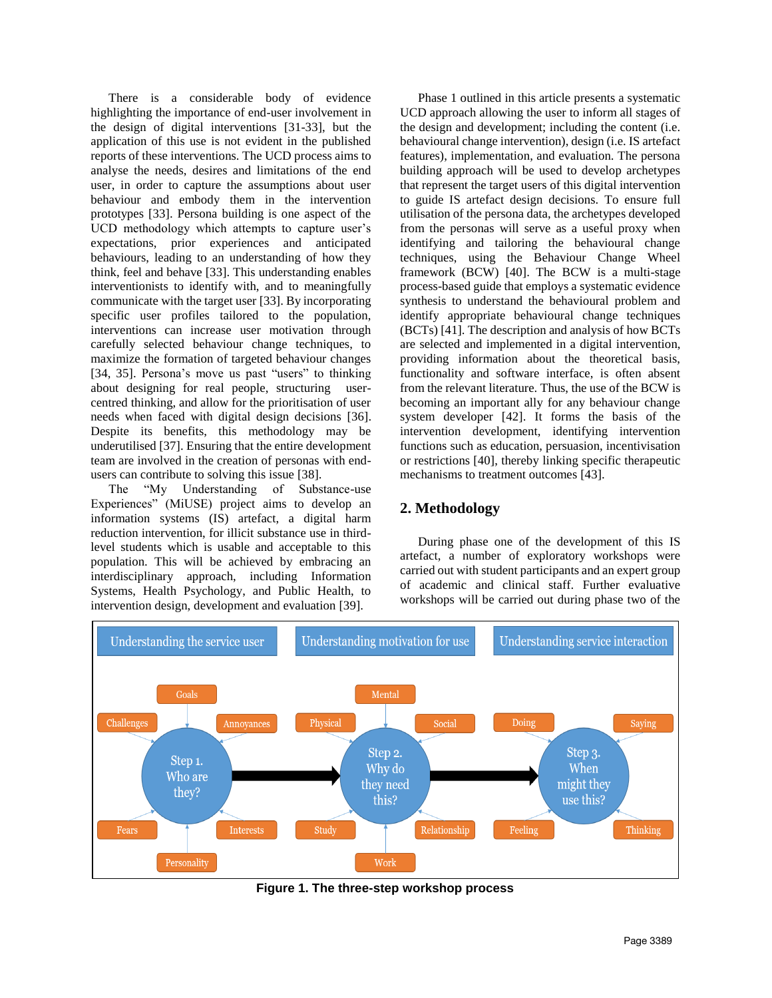There is a considerable body of evidence highlighting the importance of end-user involvement in the design of digital interventions [31-33], but the application of this use is not evident in the published reports of these interventions. The UCD process aims to analyse the needs, desires and limitations of the end user, in order to capture the assumptions about user behaviour and embody them in the intervention prototypes [33]. Persona building is one aspect of the UCD methodology which attempts to capture user's expectations, prior experiences and anticipated behaviours, leading to an understanding of how they think, feel and behave [33]. This understanding enables interventionists to identify with, and to meaningfully communicate with the target user [33]. By incorporating specific user profiles tailored to the population, interventions can increase user motivation through carefully selected behaviour change techniques, to maximize the formation of targeted behaviour changes [34, 35]. Persona's move us past "users" to thinking about designing for real people, structuring usercentred thinking, and allow for the prioritisation of user needs when faced with digital design decisions [36]. Despite its benefits, this methodology may be underutilised [37]. Ensuring that the entire development team are involved in the creation of personas with endusers can contribute to solving this issue [38].

The "My Understanding of Substance-use Experiences" (MiUSE) project aims to develop an information systems (IS) artefact, a digital harm reduction intervention, for illicit substance use in thirdlevel students which is usable and acceptable to this population. This will be achieved by embracing an interdisciplinary approach, including Information Systems, Health Psychology, and Public Health, to intervention design, development and evaluation [39].

Phase 1 outlined in this article presents a systematic UCD approach allowing the user to inform all stages of the design and development; including the content (i.e. behavioural change intervention), design (i.e. IS artefact features), implementation, and evaluation. The persona building approach will be used to develop archetypes that represent the target users of this digital intervention to guide IS artefact design decisions. To ensure full utilisation of the persona data, the archetypes developed from the personas will serve as a useful proxy when identifying and tailoring the behavioural change techniques, using the Behaviour Change Wheel framework (BCW) [40]. The BCW is a multi-stage process-based guide that employs a systematic evidence synthesis to understand the behavioural problem and identify appropriate behavioural change techniques (BCTs) [41]. The description and analysis of how BCTs are selected and implemented in a digital intervention, providing information about the theoretical basis, functionality and software interface, is often absent from the relevant literature. Thus, the use of the BCW is becoming an important ally for any behaviour change system developer [42]. It forms the basis of the intervention development, identifying intervention functions such as education, persuasion, incentivisation or restrictions [40], thereby linking specific therapeutic mechanisms to treatment outcomes [43].

## **2. Methodology**

During phase one of the development of this IS artefact, a number of exploratory workshops were carried out with student participants and an expert group of academic and clinical staff. Further evaluative workshops will be carried out during phase two of the



**Figure 1. The three-step workshop process**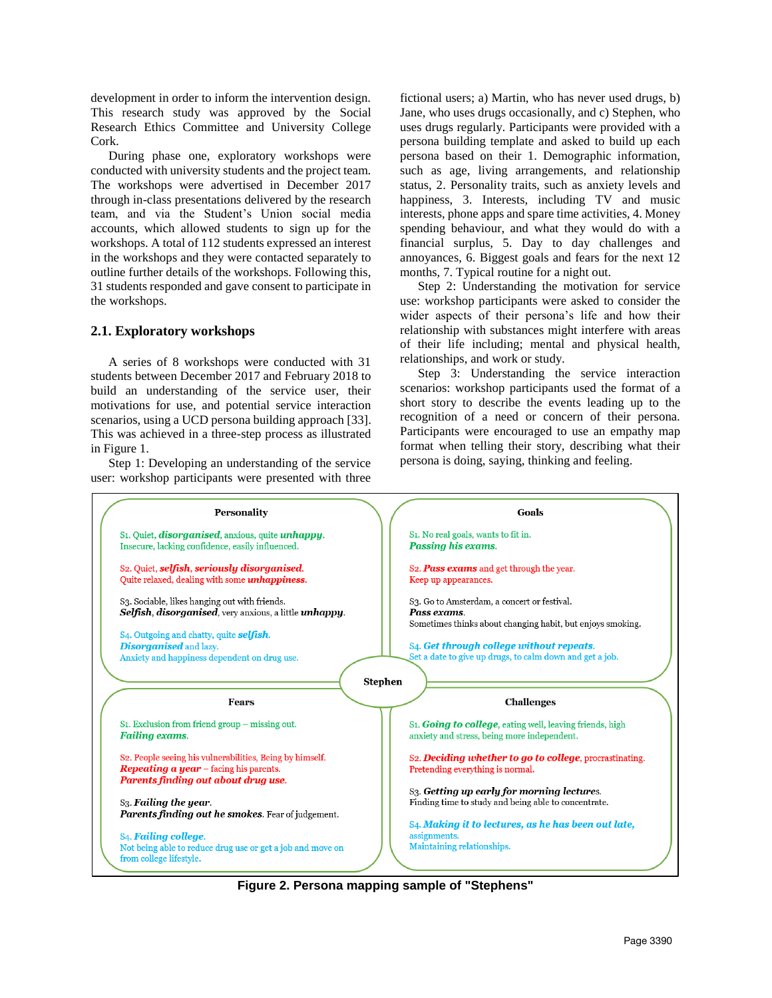development in order to inform the intervention design. This research study was approved by the Social Research Ethics Committee and University College Cork.

During phase one, exploratory workshops were conducted with university students and the project team. The workshops were advertised in December 2017 through in-class presentations delivered by the research team, and via the Student's Union social media accounts, which allowed students to sign up for the workshops. A total of 112 students expressed an interest in the workshops and they were contacted separately to outline further details of the workshops. Following this, 31 students responded and gave consent to participate in the workshops.

#### **2.1. Exploratory workshops**

A series of 8 workshops were conducted with 31 students between December 2017 and February 2018 to build an understanding of the service user, their motivations for use, and potential service interaction scenarios, using a UCD persona building approach [33]. This was achieved in a three-step process as illustrated in Figure 1.

Step 1: Developing an understanding of the service user: workshop participants were presented with three fictional users; a) Martin, who has never used drugs, b) Jane, who uses drugs occasionally, and c) Stephen, who uses drugs regularly. Participants were provided with a persona building template and asked to build up each persona based on their 1. Demographic information, such as age, living arrangements, and relationship status, 2. Personality traits, such as anxiety levels and happiness, 3. Interests, including TV and music interests, phone apps and spare time activities, 4. Money spending behaviour, and what they would do with a financial surplus, 5. Day to day challenges and annoyances, 6. Biggest goals and fears for the next 12 months, 7. Typical routine for a night out.

Step 2: Understanding the motivation for service use: workshop participants were asked to consider the wider aspects of their persona's life and how their relationship with substances might interfere with areas of their life including; mental and physical health, relationships, and work or study.

Step 3: Understanding the service interaction scenarios: workshop participants used the format of a short story to describe the events leading up to the recognition of a need or concern of their persona. Participants were encouraged to use an empathy map format when telling their story, describing what their persona is doing, saying, thinking and feeling.



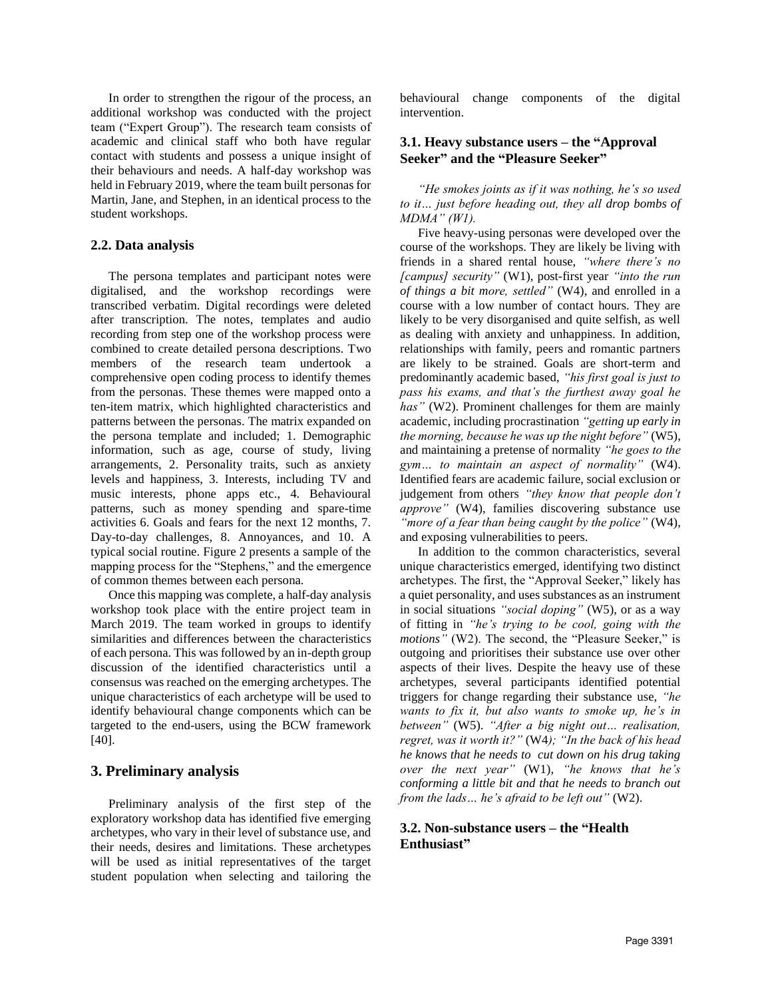In order to strengthen the rigour of the process, an additional workshop was conducted with the project team ("Expert Group"). The research team consists of academic and clinical staff who both have regular contact with students and possess a unique insight of their behaviours and needs. A half-day workshop was held in February 2019, where the team built personas for Martin, Jane, and Stephen, in an identical process to the student workshops.

#### **2.2. Data analysis**

The persona templates and participant notes were digitalised, and the workshop recordings were transcribed verbatim. Digital recordings were deleted after transcription. The notes, templates and audio recording from step one of the workshop process were combined to create detailed persona descriptions. Two members of the research team undertook a comprehensive open coding process to identify themes from the personas. These themes were mapped onto a ten-item matrix, which highlighted characteristics and patterns between the personas. The matrix expanded on the persona template and included; 1. Demographic information, such as age, course of study, living arrangements, 2. Personality traits, such as anxiety levels and happiness, 3. Interests, including TV and music interests, phone apps etc., 4. Behavioural patterns, such as money spending and spare-time activities 6. Goals and fears for the next 12 months, 7. Day-to-day challenges, 8. Annoyances, and 10. A typical social routine. Figure 2 presents a sample of the mapping process for the "Stephens," and the emergence of common themes between each persona.

Once this mapping was complete, a half-day analysis workshop took place with the entire project team in March 2019. The team worked in groups to identify similarities and differences between the characteristics of each persona. This was followed by an in-depth group discussion of the identified characteristics until a consensus was reached on the emerging archetypes. The unique characteristics of each archetype will be used to identify behavioural change components which can be targeted to the end-users, using the BCW framework [40].

### **3. Preliminary analysis**

Preliminary analysis of the first step of the exploratory workshop data has identified five emerging archetypes, who vary in their level of substance use, and their needs, desires and limitations. These archetypes will be used as initial representatives of the target student population when selecting and tailoring the

behavioural change components of the digital intervention.

#### **3.1. Heavy substance users – the "Approval Seeker" and the "Pleasure Seeker"**

*"He smokes joints as if it was nothing, he's so used to it… just before heading out, they all drop bombs of MDMA" (W1).*

Five heavy-using personas were developed over the course of the workshops. They are likely be living with friends in a shared rental house, *"where there's no [campus] security"* (W1), post-first year *"into the run of things a bit more, settled"* (W4), and enrolled in a course with a low number of contact hours. They are likely to be very disorganised and quite selfish, as well as dealing with anxiety and unhappiness. In addition, relationships with family, peers and romantic partners are likely to be strained. Goals are short-term and predominantly academic based, *"his first goal is just to pass his exams, and that's the furthest away goal he has"* (W2). Prominent challenges for them are mainly academic, including procrastination *"getting up early in the morning, because he was up the night before"* (W5), and maintaining a pretense of normality *"he goes to the gym… to maintain an aspect of normality"* (W4). Identified fears are academic failure, social exclusion or judgement from others *"they know that people don't approve"* (W4), families discovering substance use *"more of a fear than being caught by the police"* (W4), and exposing vulnerabilities to peers.

In addition to the common characteristics, several unique characteristics emerged, identifying two distinct archetypes. The first, the "Approval Seeker," likely has a quiet personality, and uses substances as an instrument in social situations *"social doping"* (W5), or as a way of fitting in *"he's trying to be cool, going with the motions"* (W2). The second, the "Pleasure Seeker," is outgoing and prioritises their substance use over other aspects of their lives. Despite the heavy use of these archetypes, several participants identified potential triggers for change regarding their substance use, *"he wants to fix it, but also wants to smoke up, he's in between"* (W5). *"After a big night out… realisation, regret, was it worth it?"* (W4*); "In the back of his head he knows that he needs to cut down on his drug taking over the next year"* (W1), *"he knows that he's conforming a little bit and that he needs to branch out from the lads… he's afraid to be left out"* (W2).

### **3.2. Non-substance users – the "Health Enthusiast"**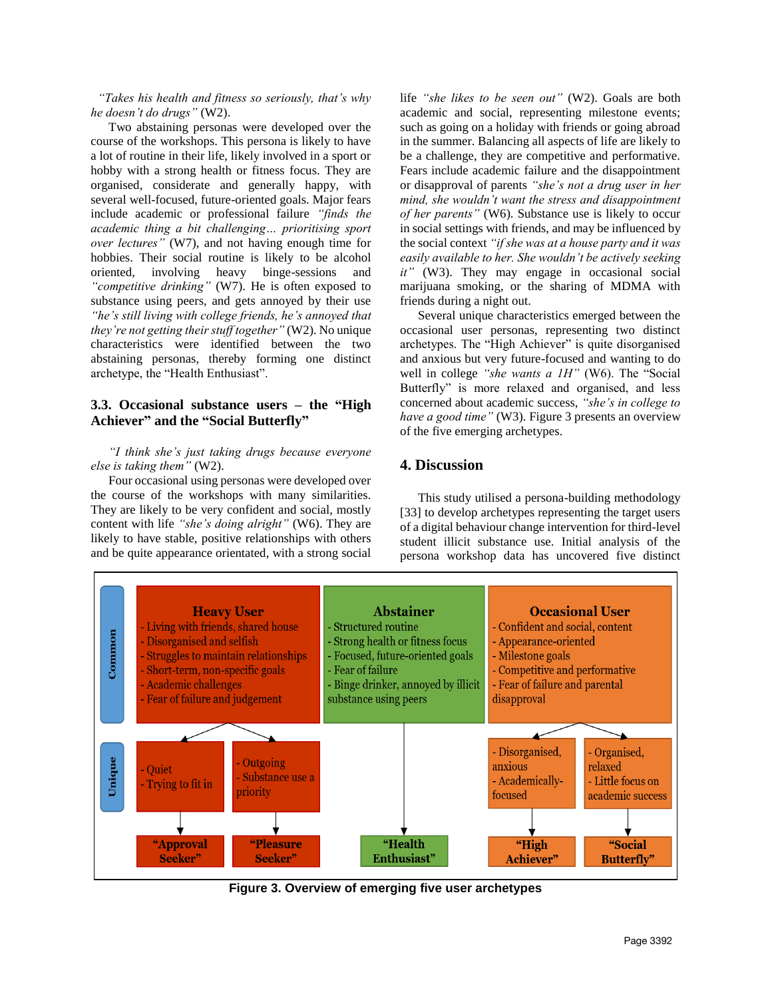*"Takes his health and fitness so seriously, that's why he doesn't do drugs"* (W2).

Two abstaining personas were developed over the course of the workshops. This persona is likely to have a lot of routine in their life, likely involved in a sport or hobby with a strong health or fitness focus. They are organised, considerate and generally happy, with several well-focused, future-oriented goals. Major fears include academic or professional failure *"finds the academic thing a bit challenging… prioritising sport over lectures"* (W7), and not having enough time for hobbies. Their social routine is likely to be alcohol oriented, involving heavy binge-sessions and *"competitive drinking"* (W7). He is often exposed to substance using peers, and gets annoyed by their use *"he's still living with college friends, he's annoyed that they're not getting their stuff together"* (W2). No unique characteristics were identified between the two abstaining personas, thereby forming one distinct archetype, the "Health Enthusiast".

#### **3.3. Occasional substance users – the "High Achiever" and the "Social Butterfly"**

#### *"I think she's just taking drugs because everyone else is taking them"* (W2).

Four occasional using personas were developed over the course of the workshops with many similarities. They are likely to be very confident and social, mostly content with life *"she's doing alright"* (W6). They are likely to have stable, positive relationships with others and be quite appearance orientated, with a strong social

life *"she likes to be seen out"* (W2). Goals are both academic and social, representing milestone events; such as going on a holiday with friends or going abroad in the summer. Balancing all aspects of life are likely to be a challenge, they are competitive and performative. Fears include academic failure and the disappointment or disapproval of parents *"she's not a drug user in her mind, she wouldn't want the stress and disappointment of her parents"* (W6). Substance use is likely to occur in social settings with friends, and may be influenced by the social context *"if she was at a house party and it was easily available to her. She wouldn't be actively seeking it"* (W3). They may engage in occasional social marijuana smoking, or the sharing of MDMA with friends during a night out.

Several unique characteristics emerged between the occasional user personas, representing two distinct archetypes. The "High Achiever" is quite disorganised and anxious but very future-focused and wanting to do well in college *"she wants a 1H"* (W6). The "Social Butterfly" is more relaxed and organised, and less concerned about academic success, *"she's in college to have a good time"* (W3). Figure 3 presents an overview of the five emerging archetypes.

# **4. Discussion**

This study utilised a persona-building methodology [33] to develop archetypes representing the target users of a digital behaviour change intervention for third-level student illicit substance use. Initial analysis of the persona workshop data has uncovered five distinct



**Figure 3. Overview of emerging five user archetypes**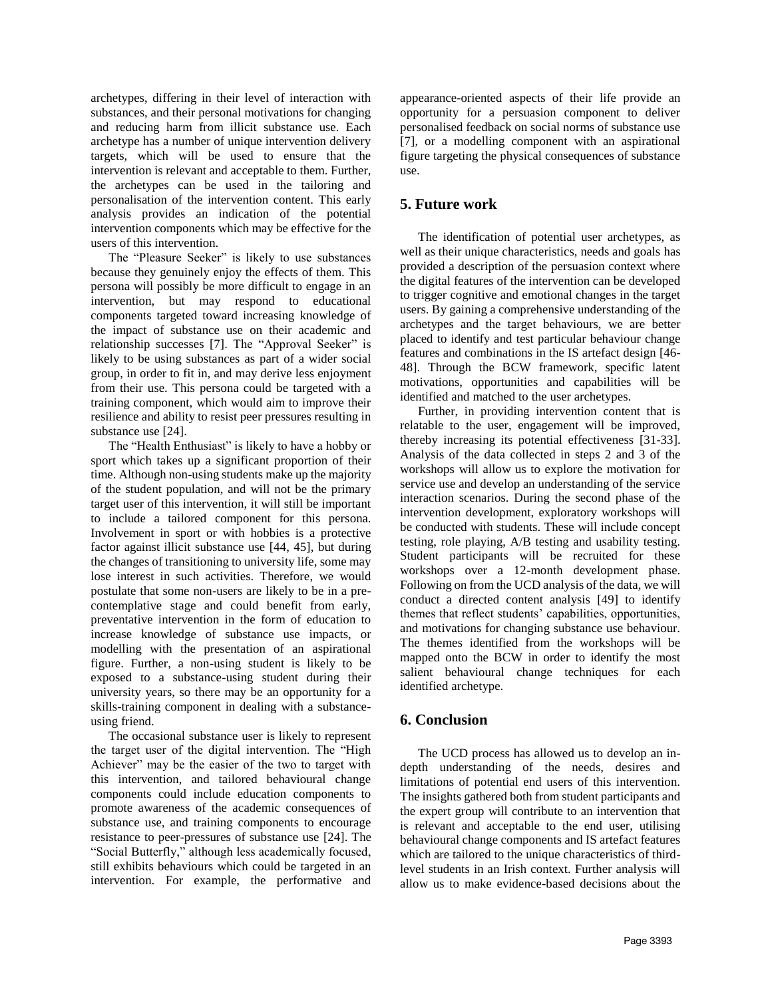archetypes, differing in their level of interaction with substances, and their personal motivations for changing and reducing harm from illicit substance use. Each archetype has a number of unique intervention delivery targets, which will be used to ensure that the intervention is relevant and acceptable to them. Further, the archetypes can be used in the tailoring and personalisation of the intervention content. This early analysis provides an indication of the potential intervention components which may be effective for the users of this intervention.

The "Pleasure Seeker" is likely to use substances because they genuinely enjoy the effects of them. This persona will possibly be more difficult to engage in an intervention, but may respond to educational components targeted toward increasing knowledge of the impact of substance use on their academic and relationship successes [7]. The "Approval Seeker" is likely to be using substances as part of a wider social group, in order to fit in, and may derive less enjoyment from their use. This persona could be targeted with a training component, which would aim to improve their resilience and ability to resist peer pressures resulting in substance use [24].

The "Health Enthusiast" is likely to have a hobby or sport which takes up a significant proportion of their time. Although non-using students make up the majority of the student population, and will not be the primary target user of this intervention, it will still be important to include a tailored component for this persona. Involvement in sport or with hobbies is a protective factor against illicit substance use [44, 45], but during the changes of transitioning to university life, some may lose interest in such activities. Therefore, we would postulate that some non-users are likely to be in a precontemplative stage and could benefit from early, preventative intervention in the form of education to increase knowledge of substance use impacts, or modelling with the presentation of an aspirational figure. Further, a non-using student is likely to be exposed to a substance-using student during their university years, so there may be an opportunity for a skills-training component in dealing with a substanceusing friend.

The occasional substance user is likely to represent the target user of the digital intervention. The "High Achiever" may be the easier of the two to target with this intervention, and tailored behavioural change components could include education components to promote awareness of the academic consequences of substance use, and training components to encourage resistance to peer-pressures of substance use [24]. The "Social Butterfly," although less academically focused, still exhibits behaviours which could be targeted in an intervention. For example, the performative and

appearance-oriented aspects of their life provide an opportunity for a persuasion component to deliver personalised feedback on social norms of substance use [7], or a modelling component with an aspirational figure targeting the physical consequences of substance use.

### **5. Future work**

The identification of potential user archetypes, as well as their unique characteristics, needs and goals has provided a description of the persuasion context where the digital features of the intervention can be developed to trigger cognitive and emotional changes in the target users. By gaining a comprehensive understanding of the archetypes and the target behaviours, we are better placed to identify and test particular behaviour change features and combinations in the IS artefact design [46- 48]. Through the BCW framework, specific latent motivations, opportunities and capabilities will be identified and matched to the user archetypes.

Further, in providing intervention content that is relatable to the user, engagement will be improved, thereby increasing its potential effectiveness [31-33]. Analysis of the data collected in steps 2 and 3 of the workshops will allow us to explore the motivation for service use and develop an understanding of the service interaction scenarios. During the second phase of the intervention development, exploratory workshops will be conducted with students. These will include concept testing, role playing, A/B testing and usability testing. Student participants will be recruited for these workshops over a 12-month development phase. Following on from the UCD analysis of the data, we will conduct a directed content analysis [49] to identify themes that reflect students' capabilities, opportunities, and motivations for changing substance use behaviour. The themes identified from the workshops will be mapped onto the BCW in order to identify the most salient behavioural change techniques for each identified archetype.

### **6. Conclusion**

The UCD process has allowed us to develop an indepth understanding of the needs, desires and limitations of potential end users of this intervention. The insights gathered both from student participants and the expert group will contribute to an intervention that is relevant and acceptable to the end user, utilising behavioural change components and IS artefact features which are tailored to the unique characteristics of thirdlevel students in an Irish context. Further analysis will allow us to make evidence-based decisions about the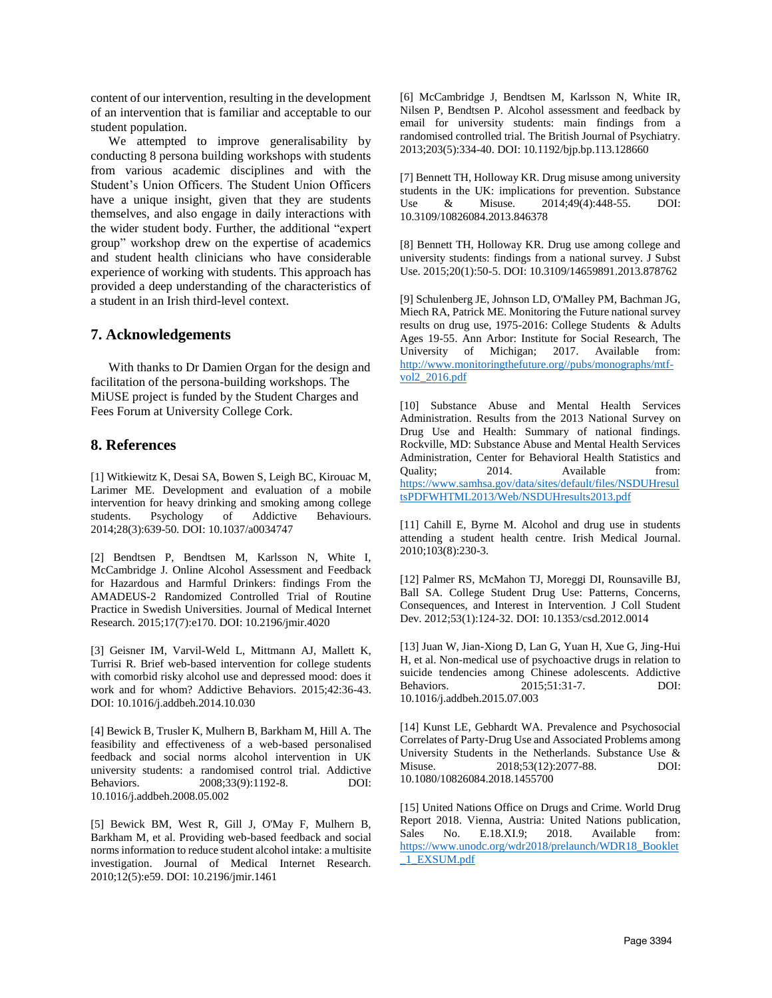content of our intervention, resulting in the development of an intervention that is familiar and acceptable to our student population.

We attempted to improve generalisability by conducting 8 persona building workshops with students from various academic disciplines and with the Student's Union Officers. The Student Union Officers have a unique insight, given that they are students themselves, and also engage in daily interactions with the wider student body. Further, the additional "expert group" workshop drew on the expertise of academics and student health clinicians who have considerable experience of working with students. This approach has provided a deep understanding of the characteristics of a student in an Irish third-level context.

#### **7. Acknowledgements**

With thanks to Dr Damien Organ for the design and facilitation of the persona-building workshops. The MiUSE project is funded by the Student Charges and Fees Forum at University College Cork.

#### **8. References**

[1] Witkiewitz K, Desai SA, Bowen S, Leigh BC, Kirouac M, Larimer ME. Development and evaluation of a mobile intervention for heavy drinking and smoking among college students. Psychology of Addictive Behaviours. 2014;28(3):639-50. DOI: 10.1037/a0034747

[2] Bendtsen P, Bendtsen M, Karlsson N, White I, McCambridge J. Online Alcohol Assessment and Feedback for Hazardous and Harmful Drinkers: findings From the AMADEUS-2 Randomized Controlled Trial of Routine Practice in Swedish Universities. Journal of Medical Internet Research. 2015;17(7):e170. DOI: 10.2196/jmir.4020

[3] Geisner IM, Varvil-Weld L, Mittmann AJ, Mallett K, Turrisi R. Brief web-based intervention for college students with comorbid risky alcohol use and depressed mood: does it work and for whom? Addictive Behaviors. 2015;42:36-43. DOI: 10.1016/j.addbeh.2014.10.030

[4] Bewick B, Trusler K, Mulhern B, Barkham M, Hill A. The feasibility and effectiveness of a web-based personalised feedback and social norms alcohol intervention in UK university students: a randomised control trial. Addictive Behaviors. 2008;33(9):1192-8. DOI: 10.1016/j.addbeh.2008.05.002

[5] Bewick BM, West R, Gill J, O'May F, Mulhern B, Barkham M, et al. Providing web-based feedback and social norms information to reduce student alcohol intake: a multisite investigation. Journal of Medical Internet Research. 2010;12(5):e59. DOI: 10.2196/jmir.1461

[6] McCambridge J, Bendtsen M, Karlsson N, White IR, Nilsen P, Bendtsen P. Alcohol assessment and feedback by email for university students: main findings from a randomised controlled trial. The British Journal of Psychiatry. 2013;203(5):334-40. DOI: 10.1192/bjp.bp.113.128660

[7] Bennett TH, Holloway KR. Drug misuse among university students in the UK: implications for prevention. Substance Use & Misuse. 2014;49(4):448-55. DOI: 10.3109/10826084.2013.846378

[8] Bennett TH, Holloway KR. Drug use among college and university students: findings from a national survey. J Subst Use. 2015;20(1):50-5. DOI: 10.3109/14659891.2013.878762

[9] Schulenberg JE, Johnson LD, O'Malley PM, Bachman JG, Miech RA, Patrick ME. Monitoring the Future national survey results on drug use, 1975-2016: College Students & Adults Ages 19-55. Ann Arbor: Institute for Social Research, The University of Michigan; 2017. Available from: [http://www.monitoringthefuture.org//pubs/monographs/mtf](http://www.monitoringthefuture.org/pubs/monographs/mtf-vol2_2016.pdf)[vol2\\_2016.pdf](http://www.monitoringthefuture.org/pubs/monographs/mtf-vol2_2016.pdf)

[10] Substance Abuse and Mental Health Services Administration. Results from the 2013 National Survey on Drug Use and Health: Summary of national findings. Rockville, MD: Substance Abuse and Mental Health Services Administration, Center for Behavioral Health Statistics and Quality; 2014. Available from: [https://www.samhsa.gov/data/sites/default/files/NSDUHresul](https://www.samhsa.gov/data/sites/default/files/NSDUHresultsPDFWHTML2013/Web/NSDUHresults2013.pdf) [tsPDFWHTML2013/Web/NSDUHresults2013.pdf](https://www.samhsa.gov/data/sites/default/files/NSDUHresultsPDFWHTML2013/Web/NSDUHresults2013.pdf)

[11] Cahill E, Byrne M. Alcohol and drug use in students attending a student health centre. Irish Medical Journal. 2010;103(8):230-3.

[12] Palmer RS, McMahon TJ, Moreggi DI, Rounsaville BJ, Ball SA. College Student Drug Use: Patterns, Concerns, Consequences, and Interest in Intervention. J Coll Student Dev. 2012;53(1):124-32. DOI: 10.1353/csd.2012.0014

[13] Juan W, Jian-Xiong D, Lan G, Yuan H, Xue G, Jing-Hui H, et al. Non-medical use of psychoactive drugs in relation to suicide tendencies among Chinese adolescents. Addictive Behaviors. 2015;51:31-7. DOI: 10.1016/j.addbeh.2015.07.003

[14] Kunst LE, Gebhardt WA. Prevalence and Psychosocial Correlates of Party-Drug Use and Associated Problems among University Students in the Netherlands. Substance Use & Misuse. 2018;53(12):2077-88. DOI: 10.1080/10826084.2018.1455700

[15] United Nations Office on Drugs and Crime. World Drug Report 2018. Vienna, Austria: United Nations publication, Sales No. E.18.XI.9; 2018. Available from: [https://www.unodc.org/wdr2018/prelaunch/WDR18\\_Booklet](https://www.unodc.org/wdr2018/prelaunch/WDR18_Booklet_1_EXSUM.pdf) [\\_1\\_EXSUM.pdf](https://www.unodc.org/wdr2018/prelaunch/WDR18_Booklet_1_EXSUM.pdf)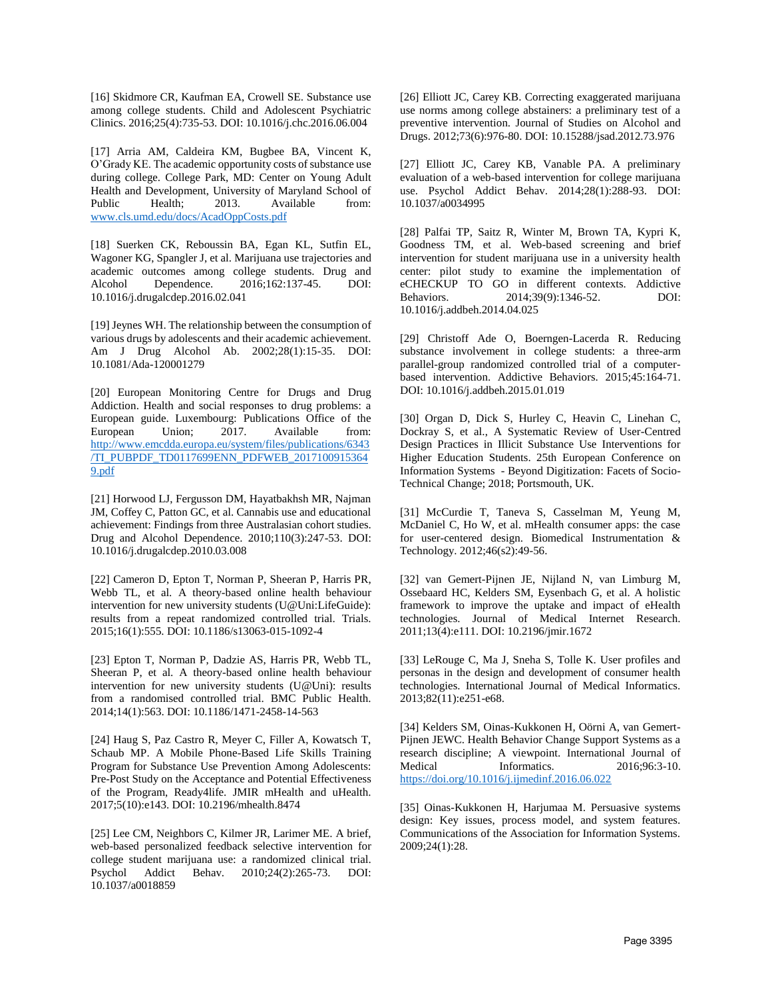[16] Skidmore CR, Kaufman EA, Crowell SE. Substance use among college students. Child and Adolescent Psychiatric Clinics. 2016;25(4):735-53. DOI: 10.1016/j.chc.2016.06.004

[17] Arria AM, Caldeira KM, Bugbee BA, Vincent K, O'Grady KE. The academic opportunity costs of substance use during college. College Park, MD: Center on Young Adult Health and Development, University of Maryland School of Public Health; 2013. Available from: [www.cls.umd.edu/docs/AcadOppCosts.pdf](file:///C:/Users/sdick/OneDrive%20-%20University%20College%20Cork/MiUSE%20Team%20Folder/Conferences/HICSS%202020/www.cls.umd.edu/docs/AcadOppCosts.pdf)

[18] Suerken CK, Reboussin BA, Egan KL, Sutfin EL, Wagoner KG, Spangler J, et al. Marijuana use trajectories and academic outcomes among college students. Drug and Alcohol Dependence. 2016;162:137-45. DOI: 10.1016/j.drugalcdep.2016.02.041

[19] Jeynes WH. The relationship between the consumption of various drugs by adolescents and their academic achievement. Am J Drug Alcohol Ab. 2002;28(1):15-35. DOI: 10.1081/Ada-120001279

[20] European Monitoring Centre for Drugs and Drug Addiction. Health and social responses to drug problems: a European guide. Luxembourg: Publications Office of the European Union; 2017. Available from: [http://www.emcdda.europa.eu/system/files/publications/6343](http://www.emcdda.europa.eu/system/files/publications/6343/TI_PUBPDF_TD0117699ENN_PDFWEB_20171009153649.pdf) [/TI\\_PUBPDF\\_TD0117699ENN\\_PDFWEB\\_2017100915364](http://www.emcdda.europa.eu/system/files/publications/6343/TI_PUBPDF_TD0117699ENN_PDFWEB_20171009153649.pdf) [9.pdf](http://www.emcdda.europa.eu/system/files/publications/6343/TI_PUBPDF_TD0117699ENN_PDFWEB_20171009153649.pdf)

[21] Horwood LJ, Fergusson DM, Hayatbakhsh MR, Najman JM, Coffey C, Patton GC, et al. Cannabis use and educational achievement: Findings from three Australasian cohort studies. Drug and Alcohol Dependence. 2010;110(3):247-53. DOI: 10.1016/j.drugalcdep.2010.03.008

[22] Cameron D, Epton T, Norman P, Sheeran P, Harris PR, Webb TL, et al. A theory-based online health behaviour intervention for new university students (U@Uni:LifeGuide): results from a repeat randomized controlled trial. Trials. 2015;16(1):555. DOI: 10.1186/s13063-015-1092-4

[23] Epton T, Norman P, Dadzie AS, Harris PR, Webb TL, Sheeran P, et al. A theory-based online health behaviour intervention for new university students (U@Uni): results from a randomised controlled trial. BMC Public Health. 2014;14(1):563. DOI: 10.1186/1471-2458-14-563

[24] Haug S, Paz Castro R, Meyer C, Filler A, Kowatsch T, Schaub MP. A Mobile Phone-Based Life Skills Training Program for Substance Use Prevention Among Adolescents: Pre-Post Study on the Acceptance and Potential Effectiveness of the Program, Ready4life. JMIR mHealth and uHealth. 2017;5(10):e143. DOI: 10.2196/mhealth.8474

[25] Lee CM, Neighbors C, Kilmer JR, Larimer ME. A brief, web-based personalized feedback selective intervention for college student marijuana use: a randomized clinical trial. Psychol Addict Behav. 2010;24(2):265-73. DOI: 10.1037/a0018859

[26] Elliott JC, Carey KB. Correcting exaggerated marijuana use norms among college abstainers: a preliminary test of a preventive intervention. Journal of Studies on Alcohol and Drugs. 2012;73(6):976-80. DOI: 10.15288/jsad.2012.73.976

[27] Elliott JC, Carey KB, Vanable PA. A preliminary evaluation of a web-based intervention for college marijuana use. Psychol Addict Behav. 2014;28(1):288-93. DOI: 10.1037/a0034995

[28] Palfai TP, Saitz R, Winter M, Brown TA, Kypri K, Goodness TM, et al. Web-based screening and brief intervention for student marijuana use in a university health center: pilot study to examine the implementation of eCHECKUP TO GO in different contexts. Addictive Behaviors. 2014;39(9):1346-52. DOI: 10.1016/j.addbeh.2014.04.025

[29] Christoff Ade O, Boerngen-Lacerda R. Reducing substance involvement in college students: a three-arm parallel-group randomized controlled trial of a computerbased intervention. Addictive Behaviors. 2015;45:164-71. DOI: 10.1016/j.addbeh.2015.01.019

[30] Organ D, Dick S, Hurley C, Heavin C, Linehan C, Dockray S, et al., A Systematic Review of User-Centred Design Practices in Illicit Substance Use Interventions for Higher Education Students. 25th European Conference on Information Systems - Beyond Digitization: Facets of Socio-Technical Change; 2018; Portsmouth, UK.

[31] McCurdie T, Taneva S, Casselman M, Yeung M, McDaniel C, Ho W, et al. mHealth consumer apps: the case for user-centered design. Biomedical Instrumentation & Technology. 2012;46(s2):49-56.

[32] van Gemert-Pijnen JE, Nijland N, van Limburg M, Ossebaard HC, Kelders SM, Eysenbach G, et al. A holistic framework to improve the uptake and impact of eHealth technologies. Journal of Medical Internet Research. 2011;13(4):e111. DOI: 10.2196/jmir.1672

[33] LeRouge C, Ma J, Sneha S, Tolle K. User profiles and personas in the design and development of consumer health technologies. International Journal of Medical Informatics. 2013;82(11):e251-e68.

[34] Kelders SM, Oinas-Kukkonen H, Oörni A, van Gemert-Pijnen JEWC. Health Behavior Change Support Systems as a research discipline; A viewpoint. International Journal of Medical Informatics. 2016;96:3-10. <https://doi.org/10.1016/j.ijmedinf.2016.06.022>

[35] Oinas-Kukkonen H, Harjumaa M. Persuasive systems design: Key issues, process model, and system features. Communications of the Association for Information Systems. 2009;24(1):28.